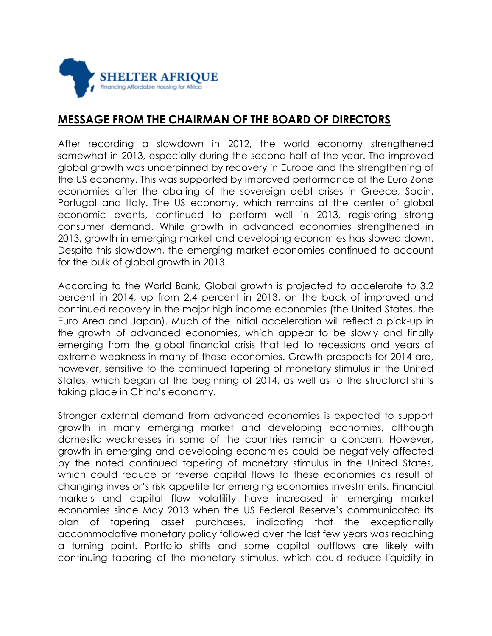

## **MESSAGE FROM THE CHAIRMAN OF THE BOARD OF DIRECTORS**

After recording a slowdown in 2012, the world economy strengthened somewhat in 2013, especially during the second half of the year. The improved global growth was underpinned by recovery in Europe and the strengthening of the US economy. This was supported by improved performance of the Euro Zone economies after the abating of the sovereign debt crises in Greece, Spain, Portugal and Italy. The US economy, which remains at the center of global economic events, continued to perform well in 2013, registering strong consumer demand. While growth in advanced economies strengthened in 2013, growth in emerging market and developing economies has slowed down. Despite this slowdown, the emerging market economies continued to account for the bulk of global growth in 2013.

According to the World Bank, Global growth is projected to accelerate to 3.2 percent in 2014, up from 2.4 percent in 2013, on the back of improved and continued recovery in the major high-income economies (the United States, the Euro Area and Japan). Much of the initial acceleration will reflect a pick-up in the growth of advanced economies, which appear to be slowly and finally emerging from the global financial crisis that led to recessions and years of extreme weakness in many of these economies. Growth prospects for 2014 are, however, sensitive to the continued tapering of monetary stimulus in the United States, which began at the beginning of 2014, as well as to the structural shifts taking place in China's economy.

Stronger external demand from advanced economies is expected to support growth in many emerging market and developing economies, although domestic weaknesses in some of the countries remain a concern. However, growth in emerging and developing economies could be negatively affected by the noted continued tapering of monetary stimulus in the United States, which could reduce or reverse capital flows to these economies as result of changing investor's risk appetite for emerging economies investments. Financial markets and capital flow volatility have increased in emerging market economies since May 2013 when the US Federal Reserve's communicated its plan of tapering asset purchases, indicating that the exceptionally accommodative monetary policy followed over the last few years was reaching a turning point. Portfolio shifts and some capital outflows are likely with continuing tapering of the monetary stimulus, which could reduce liquidity in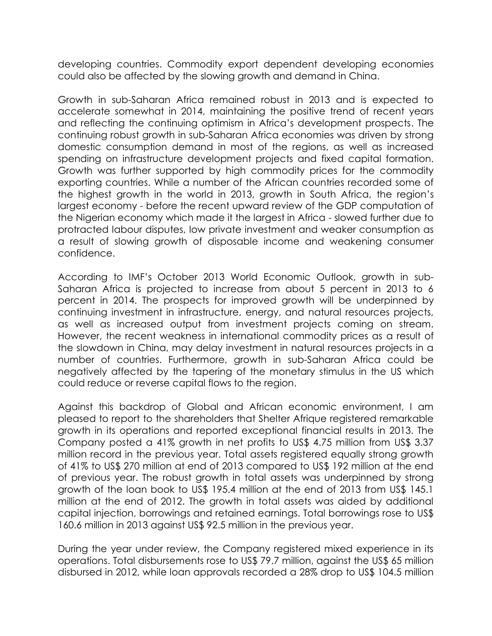developing countries. Commodity export dependent developing economies could also be affected by the slowing growth and demand in China.

Growth in sub-Saharan Africa remained robust in 2013 and is expected to accelerate somewhat in 2014, maintaining the positive trend of recent years and reflecting the continuing optimism in Africa's development prospects. The continuing robust growth in sub-Saharan Africa economies was driven by strong domestic consumption demand in most of the regions, as well as increased spending on infrastructure development projects and fixed capital formation. Growth was further supported by high commodity prices for the commodity exporting countries. While a number of the African countries recorded some of the highest growth in the world in 2013, growth in South Africa, the region's largest economy - before the recent upward review of the GDP computation of the Nigerian economy which made it the largest in Africa - slowed further due to protracted labour disputes, low private investment and weaker consumption as a result of slowing growth of disposable income and weakening consumer confidence.

According to IMF's October 2013 World Economic Outlook, growth in sub-Saharan Africa is projected to increase from about 5 percent in 2013 to 6 percent in 2014. The prospects for improved growth will be underpinned by continuing investment in infrastructure, energy, and natural resources projects, as well as increased output from investment projects coming on stream. However, the recent weakness in international commodity prices as a result of the slowdown in China, may delay investment in natural resources projects in a number of countries. Furthermore, growth in sub-Saharan Africa could be negatively affected by the tapering of the monetary stimulus in the US which could reduce or reverse capital flows to the region.

Against this backdrop of Global and African economic environment, I am pleased to report to the shareholders that Shelter Afrique registered remarkable growth in its operations and reported exceptional financial results in 2013. The Company posted a 41% growth in net profits to US\$ 4.75 million from US\$ 3.37 million record in the previous year. Total assets registered equally strong growth of 41% to US\$ 270 million at end of 2013 compared to US\$ 192 million at the end of previous year. The robust growth in total assets was underpinned by strong growth of the loan book to US\$ 195.4 million at the end of 2013 from US\$ 145.1 million at the end of 2012. The growth in total assets was aided by additional capital injection, borrowings and retained earnings. Total borrowings rose to US\$ 160.6 million in 2013 against US\$ 92.5 million in the previous year.

During the year under review, the Company registered mixed experience in its operations. Total disbursements rose to US\$ 79.7 million, against the US\$ 65 million disbursed in 2012, while loan approvals recorded a 28% drop to US\$ 104.5 million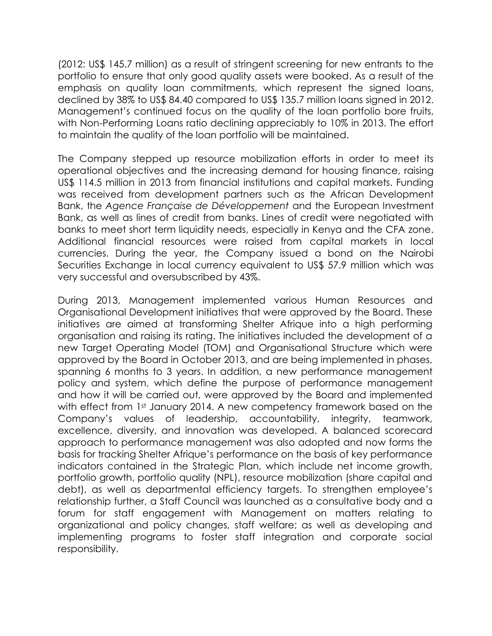(2012: US\$ 145.7 million) as a result of stringent screening for new entrants to the portfolio to ensure that only good quality assets were booked. As a result of the emphasis on quality loan commitments, which represent the signed loans, declined by 38% to US\$ 84.40 compared to US\$ 135.7 million loans signed in 2012. Management's continued focus on the quality of the loan portfolio bore fruits, with Non-Performing Loans ratio declining appreciably to 10% in 2013. The effort to maintain the quality of the loan portfolio will be maintained.

The Company stepped up resource mobilization efforts in order to meet its operational objectives and the increasing demand for housing finance, raising US\$ 114.5 million in 2013 from financial institutions and capital markets. Funding was received from development partners such as the African Development Bank, the *Agence Française de Développement* and the European Investment Bank, as well as lines of credit from banks. Lines of credit were negotiated with banks to meet short term liquidity needs, especially in Kenya and the CFA zone. Additional financial resources were raised from capital markets in local currencies. During the year, the Company issued a bond on the Nairobi Securities Exchange in local currency equivalent to US\$ 57.9 million which was very successful and oversubscribed by 43%.

During 2013, Management implemented various Human Resources and Organisational Development initiatives that were approved by the Board. These initiatives are aimed at transforming Shelter Afrique into a high performing organisation and raising its rating. The initiatives included the development of a new Target Operating Model (TOM) and Organisational Structure which were approved by the Board in October 2013, and are being implemented in phases, spanning 6 months to 3 years. In addition, a new performance management policy and system, which define the purpose of performance management and how it will be carried out, were approved by the Board and implemented with effect from 1st January 2014. A new competency framework based on the Company's values of leadership, accountability, integrity, teamwork, excellence, diversity, and innovation was developed. A balanced scorecard approach to performance management was also adopted and now forms the basis for tracking Shelter Afrique's performance on the basis of key performance indicators contained in the Strategic Plan, which include net income growth, portfolio growth, portfolio quality (NPL), resource mobilization (share capital and debt), as well as departmental efficiency targets. To strengthen employee's relationship further, a Staff Council was launched as a consultative body and a forum for staff engagement with Management on matters relating to organizational and policy changes, staff welfare; as well as developing and implementing programs to foster staff integration and corporate social responsibility.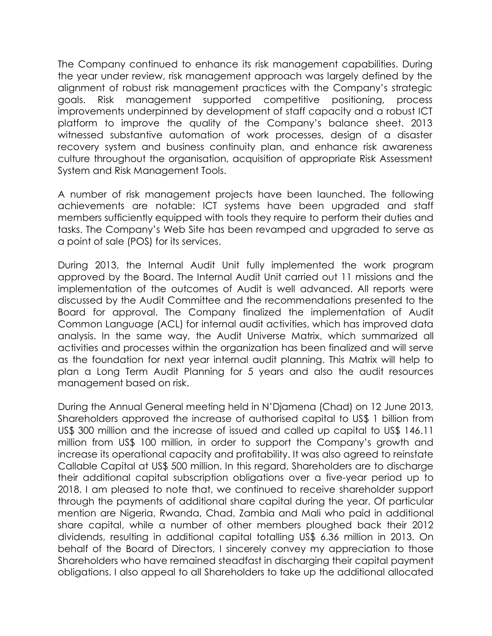The Company continued to enhance its risk management capabilities. During the year under review, risk management approach was largely defined by the alignment of robust risk management practices with the Company's strategic goals. Risk management supported competitive positioning, process improvements underpinned by development of staff capacity and a robust ICT platform to improve the quality of the Company's balance sheet. 2013 witnessed substantive automation of work processes, design of a disaster recovery system and business continuity plan, and enhance risk awareness culture throughout the organisation, acquisition of appropriate Risk Assessment System and Risk Management Tools.

A number of risk management projects have been launched. The following achievements are notable: ICT systems have been upgraded and staff members sufficiently equipped with tools they require to perform their duties and tasks. The Company's Web Site has been revamped and upgraded to serve as a point of sale (POS) for its services.

During 2013, the Internal Audit Unit fully implemented the work program approved by the Board. The Internal Audit Unit carried out 11 missions and the implementation of the outcomes of Audit is well advanced. All reports were discussed by the Audit Committee and the recommendations presented to the Board for approval. The Company finalized the implementation of Audit Common Language (ACL) for internal audit activities, which has improved data analysis. In the same way, the Audit Universe Matrix, which summarized all activities and processes within the organization has been finalized and will serve as the foundation for next year internal audit planning. This Matrix will help to plan a Long Term Audit Planning for 5 years and also the audit resources management based on risk.

During the Annual General meeting held in N'Djamena (Chad) on 12 June 2013, Shareholders approved the increase of authorised capital to US\$ 1 billion from US\$ 300 million and the increase of issued and called up capital to US\$ 146.11 million from US\$ 100 million, in order to support the Company's growth and increase its operational capacity and profitability. It was also agreed to reinstate Callable Capital at US\$ 500 million. In this regard, Shareholders are to discharge their additional capital subscription obligations over a five-year period up to 2018. I am pleased to note that, we continued to receive shareholder support through the payments of additional share capital during the year. Of particular mention are Nigeria, Rwanda, Chad, Zambia and Mali who paid in additional share capital, while a number of other members ploughed back their 2012 dividends, resulting in additional capital totalling US\$ 6.36 million in 2013. On behalf of the Board of Directors, I sincerely convey my appreciation to those Shareholders who have remained steadfast in discharging their capital payment obligations. I also appeal to all Shareholders to take up the additional allocated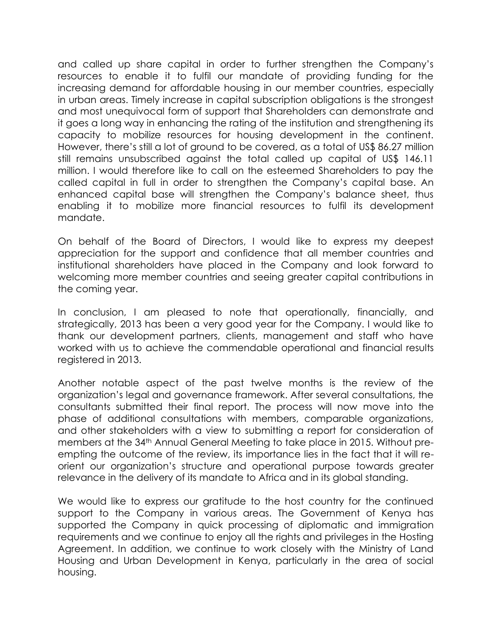and called up share capital in order to further strengthen the Company's resources to enable it to fulfil our mandate of providing funding for the increasing demand for affordable housing in our member countries, especially in urban areas. Timely increase in capital subscription obligations is the strongest and most unequivocal form of support that Shareholders can demonstrate and it goes a long way in enhancing the rating of the institution and strengthening its capacity to mobilize resources for housing development in the continent. However, there's still a lot of ground to be covered, as a total of US\$ 86.27 million still remains unsubscribed against the total called up capital of US\$ 146.11 million. I would therefore like to call on the esteemed Shareholders to pay the called capital in full in order to strengthen the Company's capital base. An enhanced capital base will strengthen the Company's balance sheet, thus enabling it to mobilize more financial resources to fulfil its development mandate.

On behalf of the Board of Directors, I would like to express my deepest appreciation for the support and confidence that all member countries and institutional shareholders have placed in the Company and look forward to welcoming more member countries and seeing greater capital contributions in the coming year.

In conclusion, I am pleased to note that operationally, financially, and strategically, 2013 has been a very good year for the Company. I would like to thank our development partners, clients, management and staff who have worked with us to achieve the commendable operational and financial results registered in 2013.

Another notable aspect of the past twelve months is the review of the organization's legal and governance framework. After several consultations, the consultants submitted their final report. The process will now move into the phase of additional consultations with members, comparable organizations, and other stakeholders with a view to submitting a report for consideration of members at the 34th Annual General Meeting to take place in 2015. Without preempting the outcome of the review, its importance lies in the fact that it will reorient our organization's structure and operational purpose towards greater relevance in the delivery of its mandate to Africa and in its global standing.

We would like to express our gratitude to the host country for the continued support to the Company in various areas. The Government of Kenya has supported the Company in quick processing of diplomatic and immigration requirements and we continue to enjoy all the rights and privileges in the Hosting Agreement. In addition, we continue to work closely with the Ministry of Land Housing and Urban Development in Kenya, particularly in the area of social housing.